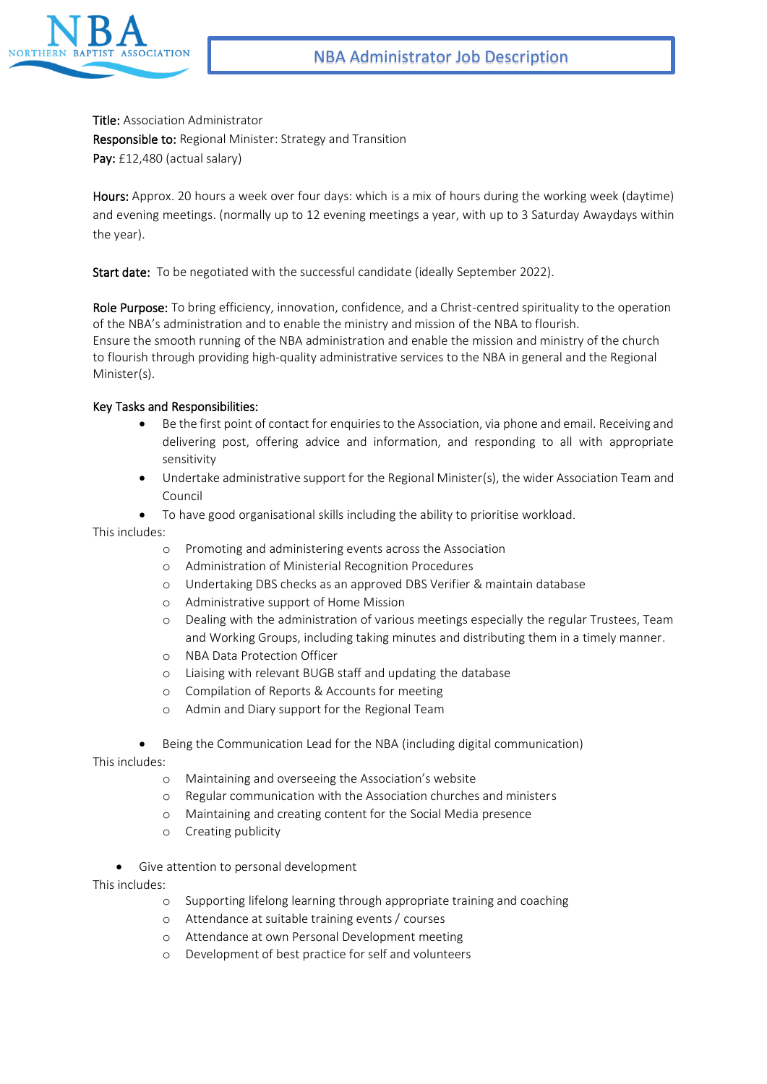

Title: Association Administrator Responsible to: Regional Minister: Strategy and Transition Pay: £12,480 (actual salary)

Hours: Approx. 20 hours a week over four days: which is a mix of hours during the working week (daytime) and evening meetings. (normally up to 12 evening meetings a year, with up to 3 Saturday Awaydays within the year).

Start date: To be negotiated with the successful candidate (ideally September 2022).

Role Purpose: To bring efficiency, innovation, confidence, and a Christ-centred spirituality to the operation of the NBA's administration and to enable the ministry and mission of the NBA to flourish. Ensure the smooth running of the NBA administration and enable the mission and ministry of the church to flourish through providing high-quality administrative services to the NBA in general and the Regional Minister(s).

## Key Tasks and Responsibilities:

- Be the first point of contact for enquiries to the Association, via phone and email. Receiving and delivering post, offering advice and information, and responding to all with appropriate sensitivity
- Undertake administrative support for the Regional Minister(s), the wider Association Team and Council
- To have good organisational skills including the ability to prioritise workload.

This includes:

- o Promoting and administering events across the Association
- o Administration of Ministerial Recognition Procedures
- o Undertaking DBS checks as an approved DBS Verifier & maintain database
- o Administrative support of Home Mission
- o Dealing with the administration of various meetings especially the regular Trustees, Team and Working Groups, including taking minutes and distributing them in a timely manner.
- o NBA Data Protection Officer
- o Liaising with relevant BUGB staff and updating the database
- o Compilation of Reports & Accounts for meeting
- o Admin and Diary support for the Regional Team
- Being the Communication Lead for the NBA (including digital communication)

This includes:

- o Maintaining and overseeing the Association's website
- o Regular communication with the Association churches and ministers
- o Maintaining and creating content for the Social Media presence
- o Creating publicity
- Give attention to personal development

This includes:

- o Supporting lifelong learning through appropriate training and coaching
- o Attendance at suitable training events / courses
- o Attendance at own Personal Development meeting
- o Development of best practice for self and volunteers